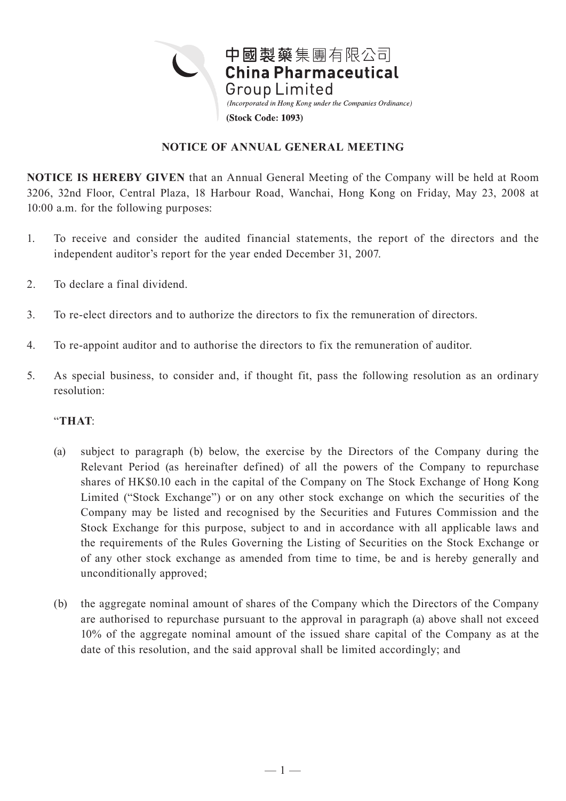

## **NOTICE OF ANNUAL GENERAL MEETING**

**NOTICE IS HEREBY GIVEN** that an Annual General Meeting of the Company will be held at Room 3206, 32nd Floor, Central Plaza, 18 Harbour Road, Wanchai, Hong Kong on Friday, May 23, 2008 at 10:00 a.m. for the following purposes:

- 1. To receive and consider the audited financial statements, the report of the directors and the independent auditor's report for the year ended December 31, 2007.
- 2. To declare a final dividend.
- 3. To re-elect directors and to authorize the directors to fix the remuneration of directors.
- 4. To re-appoint auditor and to authorise the directors to fix the remuneration of auditor.
- 5. As special business, to consider and, if thought fit, pass the following resolution as an ordinary resolution:

## "**THAT**:

- (a) subject to paragraph (b) below, the exercise by the Directors of the Company during the Relevant Period (as hereinafter defined) of all the powers of the Company to repurchase shares of HK\$0.10 each in the capital of the Company on The Stock Exchange of Hong Kong Limited ("Stock Exchange") or on any other stock exchange on which the securities of the Company may be listed and recognised by the Securities and Futures Commission and the Stock Exchange for this purpose, subject to and in accordance with all applicable laws and the requirements of the Rules Governing the Listing of Securities on the Stock Exchange or of any other stock exchange as amended from time to time, be and is hereby generally and unconditionally approved;
- (b) the aggregate nominal amount of shares of the Company which the Directors of the Company are authorised to repurchase pursuant to the approval in paragraph (a) above shall not exceed 10% of the aggregate nominal amount of the issued share capital of the Company as at the date of this resolution, and the said approval shall be limited accordingly; and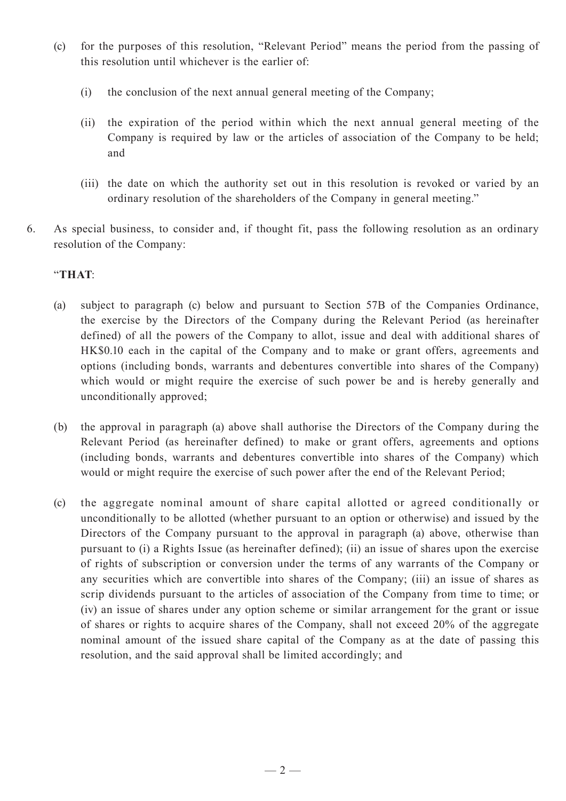- (c) for the purposes of this resolution, "Relevant Period" means the period from the passing of this resolution until whichever is the earlier of:
	- (i) the conclusion of the next annual general meeting of the Company;
	- (ii) the expiration of the period within which the next annual general meeting of the Company is required by law or the articles of association of the Company to be held; and
	- (iii) the date on which the authority set out in this resolution is revoked or varied by an ordinary resolution of the shareholders of the Company in general meeting."
- 6. As special business, to consider and, if thought fit, pass the following resolution as an ordinary resolution of the Company:

## "**THAT**:

- (a) subject to paragraph (c) below and pursuant to Section 57B of the Companies Ordinance, the exercise by the Directors of the Company during the Relevant Period (as hereinafter defined) of all the powers of the Company to allot, issue and deal with additional shares of HK\$0.10 each in the capital of the Company and to make or grant offers, agreements and options (including bonds, warrants and debentures convertible into shares of the Company) which would or might require the exercise of such power be and is hereby generally and unconditionally approved;
- (b) the approval in paragraph (a) above shall authorise the Directors of the Company during the Relevant Period (as hereinafter defined) to make or grant offers, agreements and options (including bonds, warrants and debentures convertible into shares of the Company) which would or might require the exercise of such power after the end of the Relevant Period;
- (c) the aggregate nominal amount of share capital allotted or agreed conditionally or unconditionally to be allotted (whether pursuant to an option or otherwise) and issued by the Directors of the Company pursuant to the approval in paragraph (a) above, otherwise than pursuant to (i) a Rights Issue (as hereinafter defined); (ii) an issue of shares upon the exercise of rights of subscription or conversion under the terms of any warrants of the Company or any securities which are convertible into shares of the Company; (iii) an issue of shares as scrip dividends pursuant to the articles of association of the Company from time to time; or (iv) an issue of shares under any option scheme or similar arrangement for the grant or issue of shares or rights to acquire shares of the Company, shall not exceed 20% of the aggregate nominal amount of the issued share capital of the Company as at the date of passing this resolution, and the said approval shall be limited accordingly; and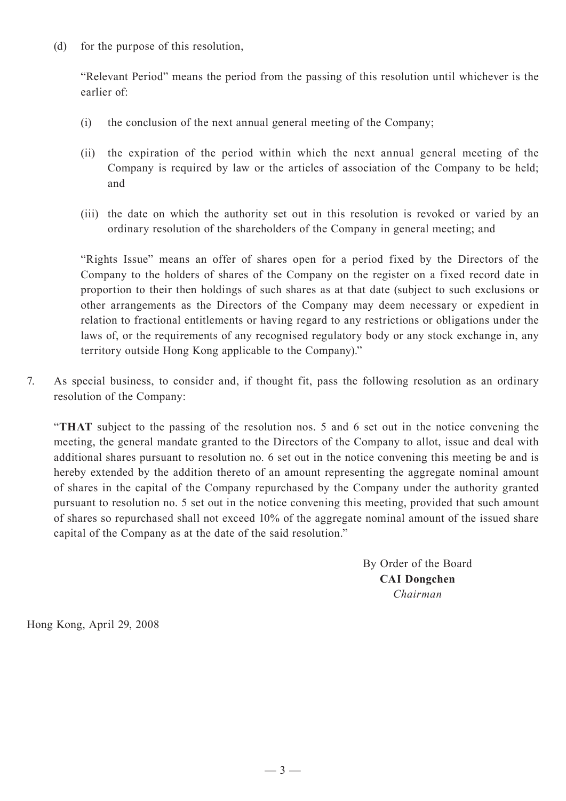(d) for the purpose of this resolution,

"Relevant Period" means the period from the passing of this resolution until whichever is the earlier of:

- (i) the conclusion of the next annual general meeting of the Company;
- (ii) the expiration of the period within which the next annual general meeting of the Company is required by law or the articles of association of the Company to be held; and
- (iii) the date on which the authority set out in this resolution is revoked or varied by an ordinary resolution of the shareholders of the Company in general meeting; and

"Rights Issue" means an offer of shares open for a period fixed by the Directors of the Company to the holders of shares of the Company on the register on a fixed record date in proportion to their then holdings of such shares as at that date (subject to such exclusions or other arrangements as the Directors of the Company may deem necessary or expedient in relation to fractional entitlements or having regard to any restrictions or obligations under the laws of, or the requirements of any recognised regulatory body or any stock exchange in, any territory outside Hong Kong applicable to the Company)."

7. As special business, to consider and, if thought fit, pass the following resolution as an ordinary resolution of the Company:

"**THAT** subject to the passing of the resolution nos. 5 and 6 set out in the notice convening the meeting, the general mandate granted to the Directors of the Company to allot, issue and deal with additional shares pursuant to resolution no. 6 set out in the notice convening this meeting be and is hereby extended by the addition thereto of an amount representing the aggregate nominal amount of shares in the capital of the Company repurchased by the Company under the authority granted pursuant to resolution no. 5 set out in the notice convening this meeting, provided that such amount of shares so repurchased shall not exceed 10% of the aggregate nominal amount of the issued share capital of the Company as at the date of the said resolution."

> By Order of the Board **CAI Dongchen** *Chairman*

Hong Kong, April 29, 2008